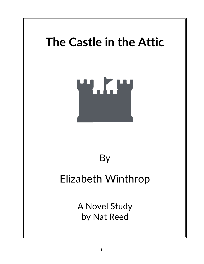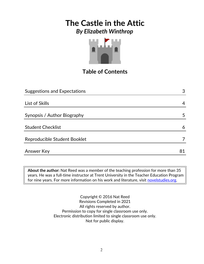

**Table of Contents**

| <b>Suggestions and Expectations</b> | 3  |
|-------------------------------------|----|
|                                     |    |
| List of Skills                      | 4  |
|                                     |    |
| Synopsis / Author Biography         | 5  |
|                                     |    |
| <b>Student Checklist</b>            | 6  |
|                                     |    |
| Reproducible Student Booklet        |    |
|                                     |    |
| <b>Answer Key</b>                   | 81 |

**About the author:** Nat Reed was a member of the teaching profession for more than 35 years. He was a full-time instructor at Trent University in the Teacher Education Program for nine years. For more information on his work and literature, visit [novelstudies.org.](http://www.novelstudies.org/)

> Copyright © 2016 Nat Reed Revisions Completed in 2021 All rights reserved by author. Permission to copy for single classroom use only. Electronic distribution limited to single classroom use only. Not for public display.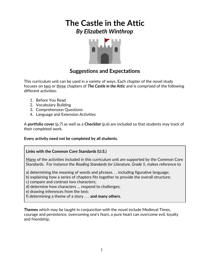

## **Suggestions and Expectations**

This curriculum unit can be used in a variety of ways. Each chapter of the novel study focuses on two or three chapters of *The Castle in the Attic* and is comprised of the following different activities:

- 1. Before You Read
- 2. Vocabulary Building
- 3. Comprehension Questions
- 4. Language and Extension Activities

A **portfolio cover** (p.7) as well as a **Checklist** (p.6) are included so that students may track of their completed work.

**Every activity need not be completed by all students.**

#### **Links with the Common Core Standards (U.S.)**

Many of the activities included in this curriculum unit are supported by the Common Core Standards. For instance the *Reading Standards for Literature, Grade 5*, makes reference to

a) determining the meaning of words and phrases. . . including figurative language;

b) explaining how a series of chapters fits together to provide the overall structure;

c) compare and contrast two characters;

d) determine how characters … respond to challenges;

e) drawing inferences from the text;

f) determining a theme of a story . . . **and many others.**

**Themes** which may be taught in conjunction with the novel include Medieval Times, courage and persistence, overcoming one's fears, a pure heart can overcome evil, loyalty and friendship.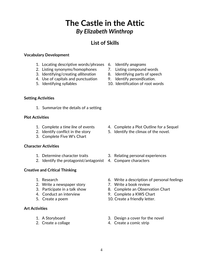## **List of Skills**

#### **Vocabulary Development**

- 1. Locating descriptive words/phrases 6. Identify *anagrams*
- 2. Listing synonyms/homophones 7. Listing compound words
- 3. Identifying/creating *alliteration* 8. Identifying parts of speech
- 4. Use of capitals and punctuation 9. Identify *personification*.
- 
- 
- 
- 
- 
- 5. Identifying syllables 10. Identification of root words

#### **Setting Activities**

1. Summarize the details of a setting

#### **Plot Activities**

- 1. Complete a *time line* of events 4. Complete a Plot Outline for a Sequel
- 2. Identify conflict in the story 5. Identify the climax of the novel.
- 3. Complete Five W's Chart

#### **Character Activities**

- 
- 2. Identify the protagonist/antagonist 4. Compare characters

#### **Creative and Critical Thinking**

- 
- 2. Write a newspaper story **7. Write a book review**
- 
- 
- 

#### **Art Activities**

- 
- 
- 
- 1. Determine character traits 3. Relating personal experiences
	-
- 1. Research 6. Write a description of personal feelings
	-
- 3. Participate in a talk show 8. Complete an Observation Chart
- 4. Conduct an interview 9. Complete a KWS Chart
- 5. Create a poem 10. Create a friendly letter.
- 1. A Storyboard 3. Design a cover for the novel
- 2. Create a collage 4. Create a comic strip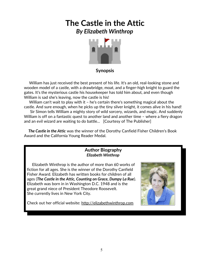

#### **Synopsis**

 William has just received the best present of his life. It's an old, real-looking stone and wooden model of a castle, with a drawbridge, moat, and a finger-high knight to guard the gates. It's the mysterious castle his housekeeper has told him about, and even though William is sad she's leaving, now the castle is his!

 William can't wait to play with it – he's certain there's something magical about the castle. And sure enough, when he picks up the tiny silver knight, it comes alive in his hand!

 Sir Simon tells William a mighty story of wild sorcery, wizards, and magic. And suddenly William is off on a fantastic quest to another land and another time – where a fiery dragon and an evil wizard are waiting to do battle... [Courtesy of The Publisher]

 *The Castle in the Attic* was the winner of the Dorothy Canfield Fisher Children's Book Award and the California Young Reader Medal.

#### **Author Biography** *Elizabeth Winthrop*

 Elizabeth Winthrop is the author of more than 60 works of fiction for all ages. She is the winner of the Dorothy Canfield Fisher Award. Elizabeth has written books for children of all ages (*The Castle in the Attic, Counting on Grace, Dumpy La Rue*). Elizabeth was born in in Washington D.C. 1948 and is the great grand niece of President Theodore Roosevelt. She currently lives in New York City.



Check out her official website: [http://elizabethwinthrop.com](http://elizabethwinthrop.com/)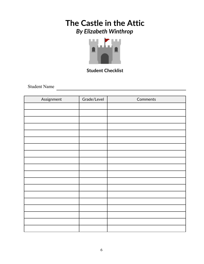

**Student Checklist**

Student Name

| Assignment | Grade/Level | Comments |
|------------|-------------|----------|
|            |             |          |
|            |             |          |
|            |             |          |
|            |             |          |
|            |             |          |
|            |             |          |
|            |             |          |
|            |             |          |
|            |             |          |
|            |             |          |
|            |             |          |
|            |             |          |
|            |             |          |
|            |             |          |
|            |             |          |
|            |             |          |
|            |             |          |
|            |             |          |
|            |             |          |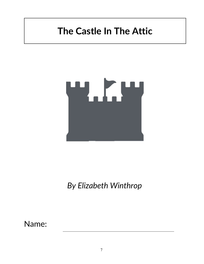# **The Castle In The Attic**



*By Elizabeth Winthrop*

Name: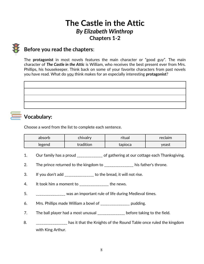# **The Castle in the Attic** *By Elizabeth Winthrop* **Chapters 1-2**

# **Before you read the chapters**:

The **protagonist** in most novels features the main character or "good guy". The main character of *The Castle in the Attic* is William, who receives the best present ever from Mrs. Phillips, his housekeeper. Think back on some of your favorite characters from past novels you have read. What do you think makes for an especially interesting **protagonist**?

# **Vocabulary:**

Choose a word from the list to complete each sentence.

| absorb | chivalry  | ritual  | reclaim |
|--------|-----------|---------|---------|
| legend | tradition | tapioca | yeast   |

- 1. Our family has a proud \_\_\_\_\_\_\_\_\_\_\_\_ of gathering at our cottage each Thanksgiving.
- 2. The prince returned to the kingdom to \_\_\_\_\_\_\_\_\_\_\_\_\_\_\_ his father's throne.
- 3. If you don't add \_\_\_\_\_\_\_\_\_\_\_\_\_\_\_\_ to the bread, it will not rise.
- 4. It took him a moment to  $\frac{1}{2}$  =  $\frac{1}{2}$  the news.
- 5. \_\_\_\_\_\_\_\_\_\_\_\_\_\_\_\_ was an important rule of life during Medieval times.
- 6. Mrs. Phillips made William a bowl of \_\_\_\_\_\_\_\_\_\_\_\_\_\_\_\_ pudding.
- 7. The ball player had a most unusual \_\_\_\_\_\_\_\_\_\_\_\_\_ before taking to the field.
- 8.  $\Box$  \_\_\_\_\_\_\_\_\_\_\_\_\_\_\_\_\_ has it that the Knights of the Round Table once ruled the kingdom with King Arthur.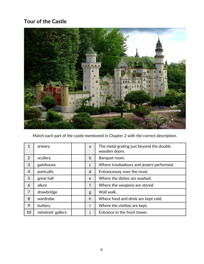# **Tour of the Castle**



Match each part of the castle mentioned in Chapter 2 with the correct description.

| 1  | armory             | a            | The metal grating just beyond the double<br>wooden doors. |
|----|--------------------|--------------|-----------------------------------------------------------|
| 2  | scullery           | b            | Banquet room.                                             |
| 3  | gatehouse          | $\mathsf{C}$ | Where troubadours and jesters performed.                  |
| 4  | portcullis         | d            | Entranceway over the moat.                                |
| 5  | great hall         | e            | Where the dishes are washed.                              |
| 6  | allure             | f            | Where the weapons are stored.                             |
| 7  | drawbridge         | g            | Wall walk.                                                |
| 8  | wardrobe           | h            | Where food and drink are kept cold.                       |
| 9  | buttery            | ı            | Where the clothes are kept.                               |
| 10 | minstrels' gallery |              | Entrance in the front tower.                              |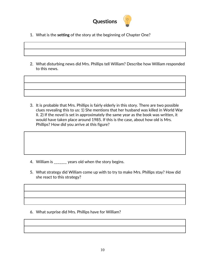

- 1. What is the **setting** of the story at the beginning of Chapter One?
- 2. What disturbing news did Mrs. Phillips tell William? Describe how William responded to this news.

3. It is probable that Mrs. Phillips is fairly elderly in this story. There are two possible clues revealing this to us: 1) She mentions that her husband was killed in World War II. 2) If the novel is set in approximately the same year as the book was written, it would have taken place around 1985. If this is the case, about how old is Mrs. Phillips? How did you arrive at this figure?

- 4. William is \_\_\_\_\_\_\_ years old when the story begins.
- 5. What strategy did William come up with to try to make Mrs. Phillips stay? How did she react to this strategy?

6. What surprise did Mrs. Phillips have for William?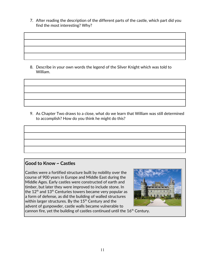7. After reading the description of the different parts of the castle, which part did you find the most interesting? Why?

8. Describe in your own words the legend of the Silver Knight which was told to William.

9. As Chapter Two draws to a close, what do we learn that William was still determined to accomplish? How do you think he might do this?

#### **Good to Know ~ Castles**

Castles were a fortified structure built by nobility over the course of 900 years in Europe and Middle East during the Middle Ages. Early castles were constructed of earth and timber, but later they were improved to include stone. In the  $12<sup>th</sup>$  and  $13<sup>th</sup>$  Centuries towers became very popular as a form of defense, as did the building of walled structures within larger structures. By the 15<sup>th</sup> Century and the advent of gunpowder, castle walls became vulnerable to



cannon fire, yet the building of castles continued until the  $16<sup>th</sup>$  Century.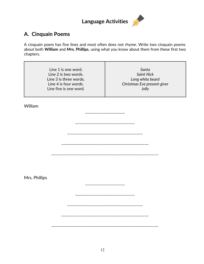

## **A. Cinquain Poems**

A cinquain poem has five lines and most often does not rhyme. Write two cinquain poems about both **William** and **Mrs. Phillips**, using what you know about them from these first two chapters.

|               | Line 1 is one word.<br>Line 2 is two words.<br>Line 3 is three words.<br>Line 4 is four words.<br>Line five is one word. | Santa<br><b>Saint Nick</b><br>Long white beard<br>Christmas Eve present-giver<br>Jolly |  |  |
|---------------|--------------------------------------------------------------------------------------------------------------------------|----------------------------------------------------------------------------------------|--|--|
| William       |                                                                                                                          |                                                                                        |  |  |
|               |                                                                                                                          |                                                                                        |  |  |
|               |                                                                                                                          |                                                                                        |  |  |
|               |                                                                                                                          |                                                                                        |  |  |
|               |                                                                                                                          |                                                                                        |  |  |
| Mrs. Phillips |                                                                                                                          |                                                                                        |  |  |
|               |                                                                                                                          |                                                                                        |  |  |
|               |                                                                                                                          |                                                                                        |  |  |
|               |                                                                                                                          |                                                                                        |  |  |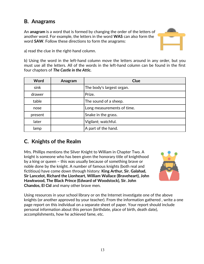## **B. Anagrams**

An **anagram** is a word that is formed by changing the order of the letters of another word. For example, the letters in the word **WAS** can also form the word **SAW**. Follow these directions to form the anagrams:



a) read the clue in the right-hand column.

b) Using the word in the left-hand column move the letters around in any order, but you must use all the letters. All of the words in the left-hand column can be found in the first four chapters of *The Castle in the Attic.*

| Word    | Anagram | Clue                       |
|---------|---------|----------------------------|
| sink    |         | The body's largest organ.  |
| drawer  |         | Prize.                     |
| table   |         | The sound of a sheep.      |
| nose    |         | Long measurements of time. |
| present |         | Snake in the grass.        |
| later   |         | Vigilant; watchful.        |
| lamp    |         | A part of the hand.        |

## **C. Knights of the Realm**

Mrs. Phillips mentions the Silver Knight to William in Chapter Two. A knight is someone who has been given the honorary title of knighthood by a king or queen – this was usually because of something brave or noble done by the knight. A number of famous knights (both real and fictitious) have come down through history: **King Arthur, Sir. Galahad, Sir Lancelot, Richard the Lionheart, William Wallace (Braveheart), John Hawkwood, The Black Prince (Edward of Woodstock), Sir. John Chandos, El Cid** and many other brave men.



Using resources in your school library or on the Internet investigate one of the above knights (or another approved by your teacher). From the information gathered , write a one page report on this individual on a separate sheet of paper. Your report should include personal information about this person (birthdate, place of birth, death date), accomplishments, how he achieved fame, etc.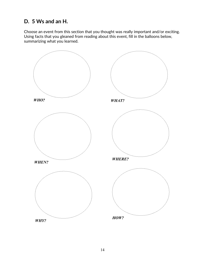## **D. 5 Ws and an H.**

Choose an event from this section that you thought was really important and/or exciting. Using facts that you gleaned from reading about this event, fill in the balloons below, summarizing what you learned.